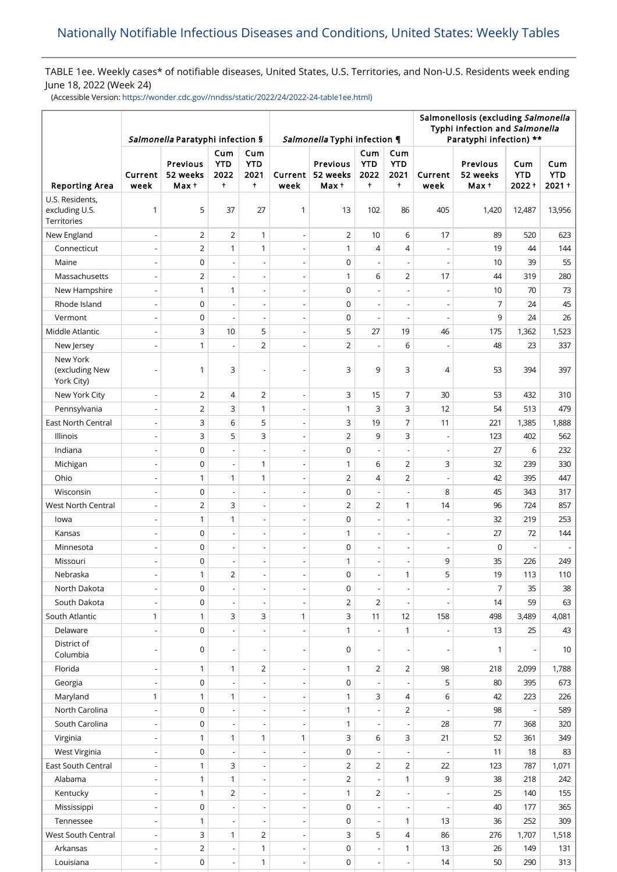# TABLE 1ee. Weekly cases\* of notifiable diseases, United States, U.S. Territories, and Non-U.S. Residents week ending June 18, 2022 (Week 24)

(Accessible Version: [https://wonder.cdc.gov//nndss/static/2022/24/2022-24-table1ee.html\)](https://wonder.cdc.gov//nndss/static/2022/24/2022-24-table1ee.html)

|                                                         | Salmonella Paratyphi infection § |                               |                                         |                                         |                          | Salmonella Typhi infection ¶  |                                |                                         | Salmonellosis (excluding Salmonella<br>Typhi infection and Salmonella<br>Paratyphi infection) ** |                                      |                               |                               |  |
|---------------------------------------------------------|----------------------------------|-------------------------------|-----------------------------------------|-----------------------------------------|--------------------------|-------------------------------|--------------------------------|-----------------------------------------|--------------------------------------------------------------------------------------------------|--------------------------------------|-------------------------------|-------------------------------|--|
| <b>Reporting Area</b>                                   | Current<br>week                  | Previous<br>52 weeks<br>Max + | Cum<br><b>YTD</b><br>2022<br>$\ddagger$ | Cum<br><b>YTD</b><br>2021<br>$\ddagger$ | Current<br>week          | Previous<br>52 weeks<br>Max + | Cum<br><b>YTD</b><br>2022<br>÷ | Cum<br><b>YTD</b><br>2021<br>$\ddagger$ | Current<br>week                                                                                  | <b>Previous</b><br>52 weeks<br>Max + | Cum<br><b>YTD</b><br>$2022 +$ | Cum<br><b>YTD</b><br>$2021 +$ |  |
| U.S. Residents,<br>excluding U.S.<br><b>Territories</b> | 1                                | 5                             | 37                                      | 27                                      | $\mathbf{1}$             | 13                            | 102                            | 86                                      | 405                                                                                              | 1,420                                | 12,487                        | 13,956                        |  |
| New England                                             | $\centerdot$                     | $\overline{2}$                | $\overline{2}$                          | $\mathbf{1}$                            | $\overline{\phantom{a}}$ | $\overline{2}$                | 10                             | 6                                       | 17                                                                                               | 89                                   | 520                           | 623                           |  |
| Connecticut                                             | $\frac{1}{2}$                    | $\overline{2}$                | $\mathbf{1}$                            | $\mathbf{1}$                            | $\overline{a}$           | $\mathbf{1}$                  | 4                              | 4                                       |                                                                                                  | 19                                   | 44                            | 144                           |  |
| Maine                                                   | $\qquad \qquad \blacksquare$     | $\mathsf 0$                   | $\overline{a}$                          | $\overline{\phantom{a}}$                | $\overline{\phantom{a}}$ | $\mathsf 0$                   | $\overline{\phantom{a}}$       | $\overline{\phantom{a}}$                | $\overline{\phantom{a}}$                                                                         | 10                                   | 39                            | 55                            |  |
| Massachusetts                                           | $\overline{a}$                   | $\overline{2}$                | $\overline{a}$                          | $\overline{a}$                          | $\overline{a}$           | $\mathbf{1}$                  | 6                              | $\overline{2}$                          | 17                                                                                               | 44                                   | 319                           | 280                           |  |
| New Hampshire                                           | $\overline{\phantom{0}}$         | $\mathbf{1}$                  | $\mathbf{1}$                            | $\overline{a}$                          | $\overline{\phantom{a}}$ | $\mathsf 0$                   | $\overline{a}$                 | ÷,                                      |                                                                                                  | 10                                   | 70                            | 73                            |  |
| Rhode Island                                            | $\overline{\phantom{a}}$         | $\mathbf 0$                   | $\overline{a}$                          | $\overline{a}$                          | $\overline{\phantom{0}}$ | $\mathbf 0$                   | $\overline{\phantom{a}}$       | $\overline{a}$                          | $\overline{\phantom{a}}$                                                                         | 7                                    | 24                            | 45                            |  |
| Vermont                                                 | $\frac{1}{2}$                    | $\mathsf 0$                   | $\overline{a}$                          | $\overline{\phantom{a}}$                | $\overline{\phantom{a}}$ | $\mathsf 0$                   | Ĭ.                             | L,                                      |                                                                                                  | 9                                    | 24                            | 26                            |  |
| Middle Atlantic                                         | $\blacksquare$                   | 3                             | 10                                      | 5                                       | $\overline{\phantom{a}}$ | 5                             | 27                             | 19                                      | 46                                                                                               | 175                                  | 1,362                         | 1,523                         |  |
| New Jersey                                              | $\overline{\phantom{0}}$         | $\mathbf{1}$                  |                                         | $\overline{2}$                          | $\overline{a}$           | $\overline{2}$                |                                | 6                                       |                                                                                                  | 48                                   | 23                            | 337                           |  |
| New York<br>(excluding New<br>York City)                | $\overline{a}$                   | $\mathbf{1}$                  | 3                                       |                                         |                          | 3                             | 9                              | 3                                       | 4                                                                                                | 53                                   | 394                           | 397                           |  |
| New York City                                           | $\centerdot$                     | 2                             | $\overline{4}$                          | 2                                       | $\overline{a}$           | 3                             | 15                             | $\overline{7}$                          | 30                                                                                               | 53                                   | 432                           | 310                           |  |
| Pennsylvania                                            | $\frac{1}{2}$                    | $\overline{2}$                | 3                                       | $\mathbf{1}$                            | $\overline{\phantom{a}}$ | $\mathbf{1}$                  | 3                              | 3                                       | 12                                                                                               | 54                                   | 513                           | 479                           |  |
| East North Central                                      | $\centerdot$                     | 3                             | 6                                       | 5                                       | $\overline{a}$           | 3                             | 19                             | $\overline{7}$                          | 11                                                                                               | 221                                  | 1,385                         | 1,888                         |  |
| Illinois                                                | $\qquad \qquad \blacksquare$     | 3                             | 5                                       | 3                                       | $\overline{\phantom{a}}$ | $\overline{2}$                | 9                              | 3                                       | $\overline{\phantom{a}}$                                                                         | 123                                  | 402                           | 562                           |  |
| Indiana                                                 | $\overline{a}$                   | 0                             | $\overline{a}$                          | $\overline{a}$                          | $\overline{a}$           | $\mathsf 0$                   | $\overline{\phantom{a}}$       | $\overline{a}$                          | $\overline{a}$                                                                                   | 27                                   | 6                             | 232                           |  |
| Michigan                                                | $\overline{\phantom{0}}$         | 0                             | $\overline{\phantom{a}}$                | 1                                       | $\overline{\phantom{a}}$ | $\mathbf{1}$                  | 6                              | $\overline{2}$                          | 3                                                                                                | 32                                   | 239                           | 330                           |  |
| Ohio                                                    | $\overline{\phantom{a}}$         | $\mathbf{1}$                  | $\mathbf{1}$                            | $\mathbf{1}$                            | $\overline{\phantom{0}}$ | $\overline{2}$                | 4                              | $\overline{2}$                          |                                                                                                  | 42                                   | 395                           | 447                           |  |
| Wisconsin                                               | $\overline{\phantom{0}}$         | $\mathsf 0$                   | $\overline{\phantom{a}}$                | Ĭ.                                      | $\overline{a}$           | $\mathsf 0$                   |                                | L,                                      | 8                                                                                                | 45                                   | 343                           | 317                           |  |
| West North Central                                      | $\overline{a}$                   | $\overline{2}$                | 3                                       | $\overline{a}$                          | $\overline{\phantom{a}}$ | $\overline{2}$                | $\overline{2}$                 | $\mathbf{1}$                            | 14                                                                                               | 96                                   | 724                           | 857                           |  |
| lowa                                                    | $\overline{a}$                   | $\mathbf{1}$                  | $\mathbf{1}$                            | $\overline{a}$                          | $\overline{a}$           | $\mathsf 0$                   |                                |                                         |                                                                                                  | 32                                   | 219                           | 253                           |  |
| Kansas                                                  | $\centerdot$                     | $\mathsf 0$                   | $\overline{a}$                          | $\overline{\phantom{a}}$                | $\overline{\phantom{a}}$ | $\mathbf{1}$                  | $\overline{a}$                 | $\overline{\phantom{a}}$                | $\overline{\phantom{a}}$                                                                         | 27                                   | 72                            | 144                           |  |
| Minnesota                                               | $\overline{a}$                   | $\mathsf 0$                   |                                         |                                         | Ĭ.                       | $\mathsf 0$                   |                                |                                         |                                                                                                  | 0                                    |                               |                               |  |
| Missouri                                                | $\overline{\phantom{a}}$         | $\mathsf 0$                   | $\overline{a}$                          | $\overline{\phantom{a}}$                | $\overline{\phantom{a}}$ | 1                             | $\overline{a}$                 | $\overline{\phantom{a}}$                | 9                                                                                                | 35                                   | 226                           | 249                           |  |
| Nebraska                                                |                                  | $\mathbf{1}$                  | 2                                       |                                         |                          | $\Omega$                      |                                | 1                                       | 5                                                                                                | 19                                   | 113                           | 110                           |  |
| North Dakota                                            | $\qquad \qquad \blacksquare$     | 0                             |                                         | $\overline{\phantom{0}}$                | $\overline{\phantom{a}}$ | 0                             |                                | $\overline{\phantom{m}}$                |                                                                                                  | $\overline{7}$                       | 35                            | 38                            |  |
| South Dakota                                            |                                  | $\mathsf 0$                   | $\overline{a}$                          |                                         |                          | $\overline{2}$                | $\overline{2}$                 |                                         |                                                                                                  | 14                                   | 59                            | 63                            |  |
| South Atlantic                                          | 1                                | $\mathbf{1}$                  | 3                                       | 3                                       | 1                        | 3                             | 11                             | 12                                      | 158                                                                                              | 498                                  | 3,489                         | 4,081                         |  |
| Delaware                                                | $\overline{\phantom{a}}$         | $\mathbf 0$                   |                                         | $\overline{a}$                          | $\overline{a}$           | $\mathbf{1}$                  | $\overline{a}$                 | $\mathbf{1}$                            | $\overline{a}$                                                                                   | 13                                   | 25                            | 43                            |  |
| District of<br>Columbia                                 | $\qquad \qquad \blacksquare$     | 0                             | $\overline{a}$                          |                                         | $\overline{a}$           | 0                             |                                |                                         | $\overline{a}$                                                                                   | 1                                    |                               | 10                            |  |
| Florida                                                 | $\overline{\phantom{0}}$         | $\mathbf{1}$                  | $\mathbf{1}$                            | 2                                       | $\overline{\phantom{a}}$ | 1                             | 2                              | $\overline{2}$                          | 98                                                                                               | 218                                  | 2,099                         | 1,788                         |  |
| Georgia                                                 | $\overline{\phantom{a}}$         | $\mathsf 0$                   |                                         |                                         | $\overline{a}$           | $\mathbf 0$                   |                                |                                         | 5                                                                                                | 80                                   | 395                           | 673                           |  |
| Maryland                                                | 1                                | $\mathbf{1}$                  | $\mathbf{1}$                            |                                         |                          | 1                             | 3                              | 4                                       | 6                                                                                                | 42                                   | 223                           | 226                           |  |
| North Carolina                                          | $\overline{\phantom{a}}$         | $\mathsf 0$                   | $\overline{\phantom{a}}$                | $\overline{a}$                          | $\overline{\phantom{a}}$ | 1                             | $\overline{a}$                 | 2                                       |                                                                                                  | 98                                   |                               | 589                           |  |
| South Carolina                                          | $\centerdot$                     | 0                             |                                         |                                         |                          | 1                             |                                |                                         | 28                                                                                               | 77                                   | 368                           | 320                           |  |
| Virginia                                                | $\overline{\phantom{a}}$         | $\mathbf{1}$                  | $\mathbf{1}$                            | 1                                       | 1                        | 3                             | 6                              | 3                                       | 21                                                                                               | 52                                   | 361                           | 349                           |  |
| West Virginia                                           | $\qquad \qquad \blacksquare$     | $\mathsf 0$                   |                                         |                                         |                          | $\mathsf 0$                   |                                |                                         |                                                                                                  | 11                                   | 18                            | 83                            |  |
| East South Central                                      | $\qquad \qquad \blacksquare$     | $\mathbf{1}$                  | $\mathsf 3$                             | $\overline{\phantom{a}}$                | $\overline{\phantom{a}}$ | $\overline{2}$                | 2                              | $\overline{2}$                          | 22                                                                                               | 123                                  | 787                           | 1,071                         |  |
| Alabama                                                 | $\overline{\phantom{a}}$         | $\mathbf{1}$                  | $\mathbf{1}$                            | $\overline{a}$                          | $\overline{a}$           | $\overline{2}$                | $\overline{\phantom{a}}$       | 1                                       | 9                                                                                                | 38                                   | 218                           | 242                           |  |
| Kentucky                                                | $\overline{\phantom{a}}$         | $\mathbf{1}$                  | 2                                       | $\overline{\phantom{a}}$                | $\overline{\phantom{a}}$ | $\mathbf{1}$                  | $\overline{2}$                 |                                         |                                                                                                  | 25                                   | 140                           | 155                           |  |
| Mississippi                                             | $\overline{\phantom{a}}$         | $\mathsf 0$                   |                                         | $\overline{a}$                          | $\overline{a}$           | $\mathbf 0$                   |                                |                                         |                                                                                                  | 40                                   | 177                           | 365                           |  |
| Tennessee                                               | $\centerdot$                     | $\mathbf{1}$                  |                                         |                                         | $\overline{\phantom{0}}$ | $\mathsf 0$                   |                                | $\mathbf{1}$                            | 13                                                                                               | 36                                   | 252                           | 309                           |  |
| West South Central                                      | $\frac{1}{2}$                    | 3                             | $\mathbf{1}$                            | $\overline{2}$                          | $\overline{\phantom{a}}$ | 3                             | 5                              | $\overline{4}$                          | 86                                                                                               | 276                                  | 1,707                         | 1,518                         |  |
| Arkansas                                                |                                  | $\overline{2}$                |                                         | 1                                       |                          | $\mathsf 0$                   |                                | $\mathbf{1}$                            | 13                                                                                               | 26                                   | 149                           | 131                           |  |
| Louisiana                                               | $\overline{\phantom{a}}$         | $\mathsf 0$                   | $\overline{\phantom{a}}$                | $\mathbf{1}$                            | $\overline{\phantom{a}}$ | $\mathsf 0$                   | $\overline{\phantom{a}}$       | $\overline{\phantom{a}}$                | 14                                                                                               | 50                                   | 290                           | 313                           |  |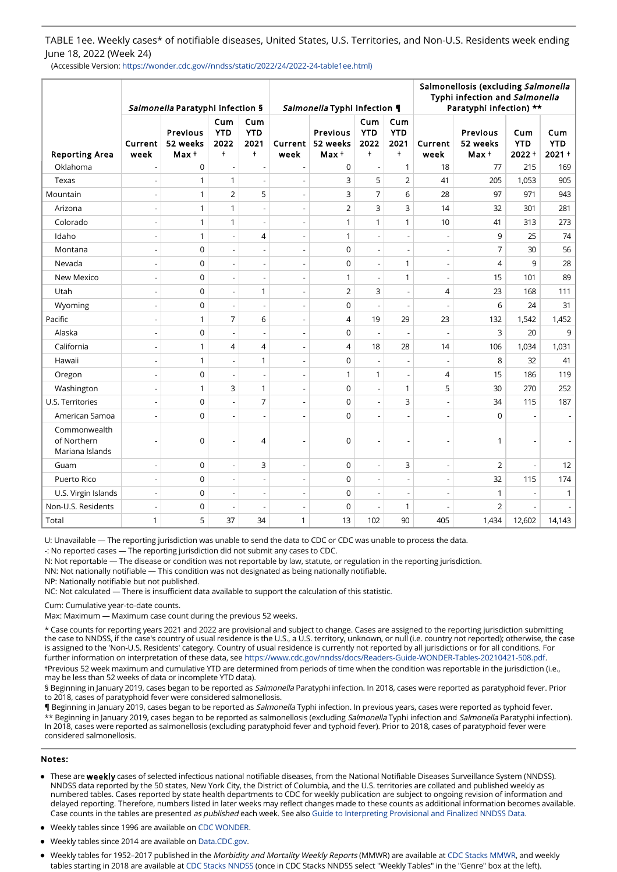TABLE 1ee. Weekly cases\* of notifiable diseases, United States, U.S. Territories, and Non-U.S. Residents week ending June 18, 2022 (Week 24)

(Accessible Version: https://wonder.cdc.gov//nndss/static/2022/24/2022-24-table1ee.html)

|                                                |                              | Salmonella Paratyphi infection § |                                         | Salmonella Typhi infection ¶            |                          |                              | Salmonellosis (excluding Salmonella<br>Typhi infection and Salmonella<br>Paratyphi infection) ** |                                         |                          |                               |                               |                               |
|------------------------------------------------|------------------------------|----------------------------------|-----------------------------------------|-----------------------------------------|--------------------------|------------------------------|--------------------------------------------------------------------------------------------------|-----------------------------------------|--------------------------|-------------------------------|-------------------------------|-------------------------------|
| <b>Reporting Area</b>                          | Current<br>week              | Previous<br>52 weeks<br>Max +    | Cum<br><b>YTD</b><br>2022<br>$\ddagger$ | Cum<br><b>YTD</b><br>2021<br>$\ddagger$ | Current<br>week          | Previous<br>52 weeks<br>Max+ | Cum<br><b>YTD</b><br>2022<br>$\ddagger$                                                          | Cum<br><b>YTD</b><br>2021<br>$\ddagger$ | Current<br>week          | Previous<br>52 weeks<br>Max + | Cum<br><b>YTD</b><br>$2022 +$ | Cum<br><b>YTD</b><br>$2021 +$ |
| Oklahoma                                       |                              | $\mathbf 0$                      | $\overline{a}$                          | $\overline{\phantom{a}}$                |                          | $\mathbf 0$                  | J.                                                                                               | $\mathbf{1}$                            | 18                       | 77                            | 215                           | 169                           |
| Texas                                          | $\overline{\phantom{a}}$     | $\mathbf{1}$                     | $\mathbf{1}$                            | $\overline{a}$                          |                          | 3                            | 5                                                                                                | $\overline{2}$                          | 41                       | 205                           | 1,053                         | 905                           |
| Mountain                                       | $\frac{1}{2}$                | $\mathbf{1}$                     | $\overline{2}$                          | 5                                       | $\overline{\phantom{a}}$ | 3                            | $\overline{7}$                                                                                   | 6                                       | 28                       | 97                            | 971                           | 943                           |
| Arizona                                        |                              | $\mathbf{1}$                     | $\mathbf{1}$                            |                                         |                          | $\overline{2}$               | 3                                                                                                | 3                                       | 14                       | 32                            | 301                           | 281                           |
| Colorado                                       | $\overline{a}$               | $\mathbf{1}$                     | $\mathbf{1}$                            | $\overline{a}$                          | $\overline{a}$           | $\mathbf{1}$                 | 1                                                                                                | 1                                       | 10                       | 41                            | 313                           | 273                           |
| Idaho                                          | $\centerdot$                 | $\mathbf{1}$                     | $\overline{\phantom{a}}$                | 4                                       | $\overline{\phantom{a}}$ | $\mathbf{1}$                 | ÷,                                                                                               | $\overline{\phantom{a}}$                | $\overline{\phantom{a}}$ | 9                             | 25                            | 74                            |
| Montana                                        | $\overline{a}$               | 0                                | $\overline{a}$                          | L.                                      | $\overline{a}$           | $\mathbf 0$                  | L,                                                                                               | $\overline{a}$                          |                          | 7                             | 30                            | 56                            |
| Nevada                                         | $\frac{1}{2}$                | 0                                | $\overline{\phantom{a}}$                | $\overline{a}$                          | $\overline{\phantom{a}}$ | $\mathbf 0$                  | $\overline{a}$                                                                                   | 1                                       | $\overline{a}$           | 4                             | 9                             | 28                            |
| New Mexico                                     | L,                           | $\mathbf 0$                      |                                         |                                         | Ĭ.                       | $\mathbf{1}$                 |                                                                                                  | 1                                       |                          | 15                            | 101                           | 89                            |
| Utah                                           | $\frac{1}{2}$                | $\mathbf 0$                      | $\overline{a}$                          | $\mathbf{1}$                            | ÷,                       | $\overline{2}$               | 3                                                                                                | $\overline{\phantom{a}}$                | $\overline{4}$           | 23                            | 168                           | 111                           |
| Wyoming                                        | $\overline{a}$               | 0                                | $\overline{a}$                          | $\overline{a}$                          | $\overline{a}$           | $\mathbf 0$                  | L,                                                                                               |                                         |                          | 6                             | 24                            | 31                            |
| Pacific                                        | $\overline{a}$               | $\mathbf{1}$                     | $\overline{7}$                          | 6                                       | $\overline{a}$           | $\overline{4}$               | 19                                                                                               | 29                                      | 23                       | 132                           | 1,542                         | 1,452                         |
| Alaska                                         | $\qquad \qquad \blacksquare$ | $\mathbf 0$                      | $\overline{\phantom{a}}$                | $\overline{\phantom{a}}$                | $\overline{\phantom{a}}$ | $\mathbf 0$                  | ÷,                                                                                               | $\overline{a}$                          | ÷,                       | 3                             | 20                            | 9                             |
| California                                     | $\overline{a}$               | $\mathbf{1}$                     | $\overline{4}$                          | 4                                       |                          | 4                            | 18                                                                                               | 28                                      | 14                       | 106                           | 1,034                         | 1,031                         |
| Hawaii                                         | $\centerdot$                 | $\mathbf{1}$                     | $\overline{\phantom{a}}$                | 1                                       | $\overline{\phantom{a}}$ | $\mathbf 0$                  | ÷,                                                                                               | $\overline{a}$                          |                          | 8                             | 32                            | 41                            |
| Oregon                                         | $\overline{a}$               | $\mathbf 0$                      | $\overline{a}$                          |                                         | L,                       | $\mathbf{1}$                 | 1                                                                                                |                                         | $\overline{4}$           | 15                            | 186                           | 119                           |
| Washington                                     | $\overline{a}$               | $\mathbf{1}$                     | 3                                       | 1                                       | $\overline{a}$           | $\mathbf 0$                  | L,                                                                                               | 1                                       | 5                        | 30                            | 270                           | 252                           |
| U.S. Territories                               | $\overline{a}$               | $\mathbf 0$                      | $\overline{a}$                          | 7                                       | $\overline{a}$           | $\mathbf 0$                  |                                                                                                  | 3                                       |                          | 34                            | 115                           | 187                           |
| American Samoa                                 | $\overline{\phantom{a}}$     | $\mathbf 0$                      | $\overline{a}$                          |                                         | $\overline{a}$           | $\mathbf 0$                  |                                                                                                  |                                         |                          | 0                             | $\overline{\phantom{a}}$      |                               |
| Commonwealth<br>of Northern<br>Mariana Islands |                              | $\mathsf 0$                      |                                         | 4                                       |                          | 0                            |                                                                                                  |                                         |                          | 1                             |                               |                               |
| Guam                                           | L,                           | $\mathsf 0$                      |                                         | 3                                       | $\overline{a}$           | $\mathsf 0$                  | Ĭ.                                                                                               | 3                                       | Ĭ.                       | $\overline{2}$                |                               | 12                            |
| Puerto Rico                                    | $\overline{a}$               | $\mathbf 0$                      | $\overline{a}$                          | $\overline{a}$                          | $\overline{a}$           | $\mathbf 0$                  | L,                                                                                               | $\overline{a}$                          | L,                       | 32                            | 115                           | 174                           |
| U.S. Virgin Islands                            | $\overline{\phantom{0}}$     | $\mathbf 0$                      | $\overline{a}$                          |                                         | $\overline{\phantom{a}}$ | $\mathbf 0$                  |                                                                                                  |                                         |                          | 1                             |                               | 1                             |
| Non-U.S. Residents                             | $\overline{a}$               | $\mathbf 0$                      | $\overline{a}$                          | $\overline{a}$                          | $\overline{a}$           | $\mathbf 0$                  | L,                                                                                               | $\mathbf{1}$                            |                          | $\overline{2}$                |                               |                               |
| Total                                          | $\mathbf{1}$                 | 5                                | 37                                      | 34                                      | 1                        | 13                           | 102                                                                                              | 90                                      | 405                      | 1,434                         | 12,602                        | 14,143                        |

U: Unavailable — The reporting jurisdiction was unable to send the data to CDC or CDC was unable to process the data.

-: No reported cases — The reporting jurisdiction did not submit any cases to CDC.

N: Not reportable — The disease or condition was not reportable by law, statute, or regulation in the reporting jurisdiction.

NN: Not nationally notifiable — This condition was not designated as being nationally notifiable.

NP: Nationally notifiable but not published.

NC: Not calculated — There is insufficient data available to support the calculation of this statistic.

Cum: Cumulative year-to-date counts.

Max: Maximum — Maximum case count during the previous 52 weeks.

\* Case counts for reporting years 2021 and 2022 are provisional and subject to change. Cases are assigned to the reporting jurisdiction submitting the case to NNDSS, if the case's country of usual residence is the U.S., a U.S. territory, unknown, or null (i.e. country not reported); otherwise, the case is assigned to the 'Non-U.S. Residents' category. Country of usual residence is currently not reported by all jurisdictions or for all conditions. For further information on interpretation of these data, see [https://www.cdc.gov/nndss/docs/Readers-Guide-WONDER-Tables-20210421-508.pdf.](https://www.cdc.gov/nndss/docs/Readers-Guide-WONDER-Tables-20210421-508.pdf) †Previous 52 week maximum and cumulative YTD are determined from periods of time when the condition was reportable in the jurisdiction (i.e., may be less than 52 weeks of data or incomplete YTD data).

§ Beginning in January 2019, cases began to be reported as Salmonella Paratyphi infection. In 2018, cases were reported as paratyphoid fever. Prior to 2018, cases of paratyphoid fever were considered salmonellosis.

¶ Beginning in January 2019, cases began to be reported as Salmonella Typhi infection. In previous years, cases were reported as typhoid fever. \*\* Beginning in January 2019, cases began to be reported as salmonellosis (excluding Salmonella Typhi infection and Salmonella Paratyphi infection). In 2018, cases were reported as salmonellosis (excluding paratyphoid fever and typhoid fever). Prior to 2018, cases of paratyphoid fever were considered salmonellosis.

### Notes:

- These are weekly cases of selected infectious national notifiable diseases, from the National Notifiable Diseases Surveillance System (NNDSS). NNDSS data reported by the 50 states, New York City, the District of Columbia, and the U.S. territories are collated and published weekly as numbered tables. Cases reported by state health departments to CDC for weekly publication are subject to ongoing revision of information and delayed reporting. Therefore, numbers listed in later weeks may reflect changes made to these counts as additional information becomes available. Case counts in the tables are presented as published each week. See also [Guide to Interpreting Provisional and Finalized NNDSS Data](https://www.cdc.gov/nndss/docs/Readers-Guide-WONDER-Tables-20210421-508.pdf).
- Weekly tables since 1996 are available on [CDC WONDER.](https://wonder.cdc.gov/nndss/nndss_weekly_tables_menu.asp)
- Weekly tables since 2014 are available on [Data.CDC.gov](https://data.cdc.gov/browse?q=NNDSS&sortBy=newest&utf8=%E2%9C%93).
- Weekly tables for 1952-2017 published in the Morbidity and Mortality Weekly Reports (MMWR) are available at [CDC Stacks MMWR](https://stacks.cdc.gov/mmwr), and weekly tables starting in 2018 are available at [CDC Stacks NNDSS](https://stacks.cdc.gov/nndss) (once in CDC Stacks NNDSS select "Weekly Tables" in the "Genre" box at the left).